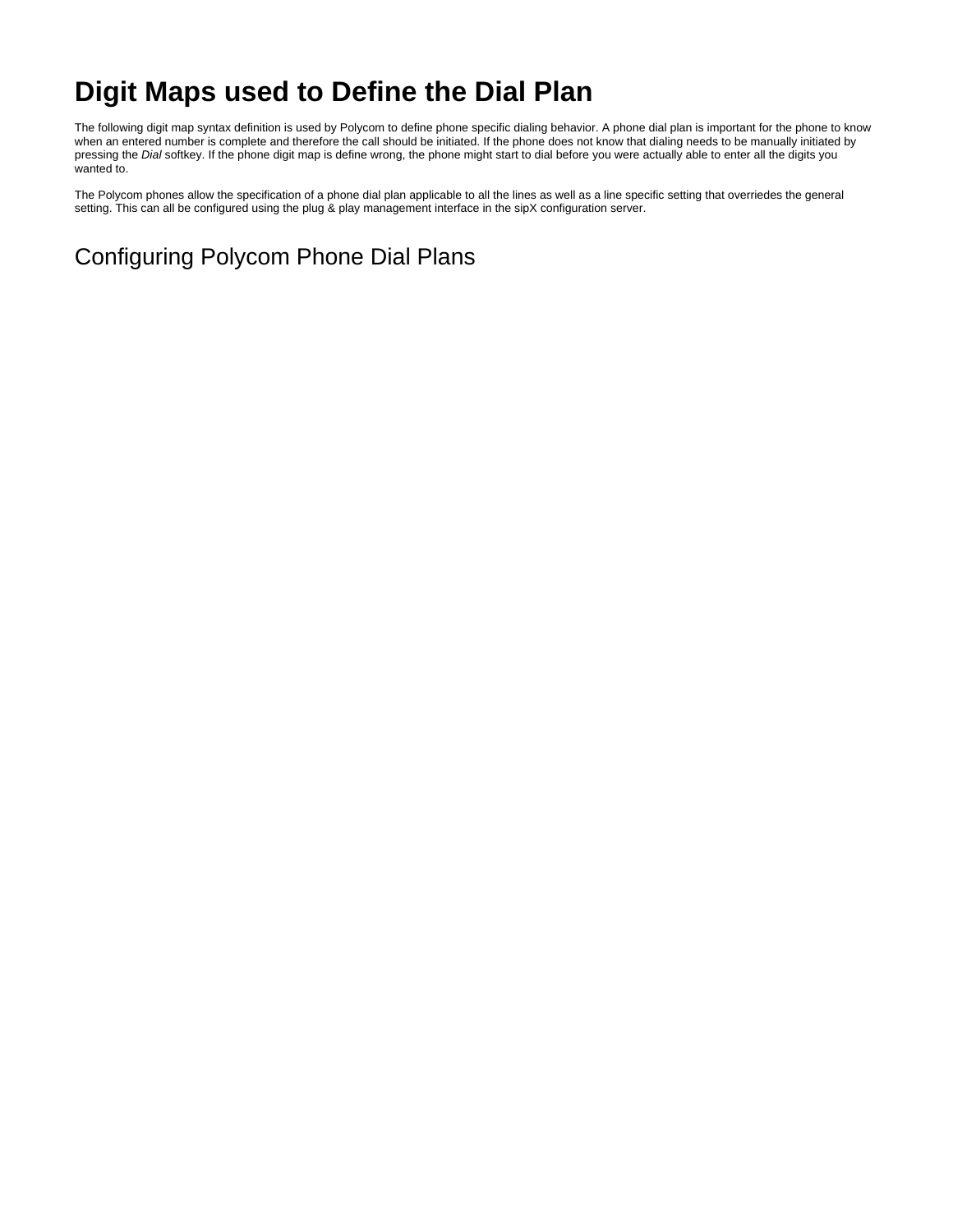# **Digit Maps used to Define the Dial Plan**

The following digit map syntax definition is used by Polycom to define phone specific dialing behavior. A phone dial plan is important for the phone to know when an entered number is complete and therefore the call should be initiated. If the phone does not know that dialing needs to be manually initiated by pressing the Dial softkey. If the phone digit map is define wrong, the phone might start to dial before you were actually able to enter all the digits you wanted to.

The Polycom phones allow the specification of a phone dial plan applicable to all the lines as well as a line specific setting that overriedes the general setting. This can all be configured using the plug & play management interface in the sipX configuration server.

Configuring Polycom Phone Dial Plans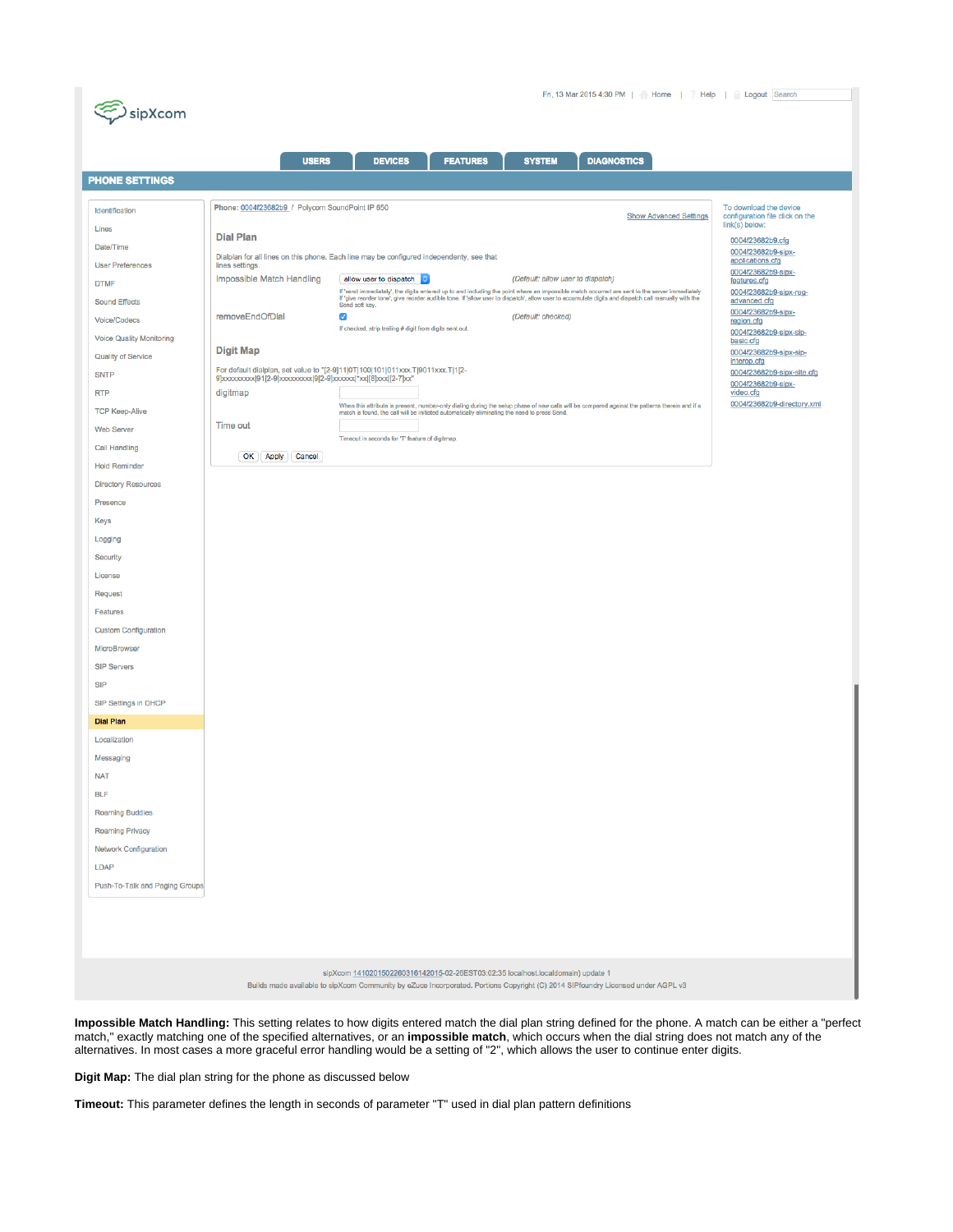

|                                   | <b>USERS</b>                                                                                                                       | <b>DIAGNOSTICS</b><br><b>DEVICES</b><br><b>FEATURES</b><br><b>SYSTEM</b>                                                                                                                                                          |                                           |
|-----------------------------------|------------------------------------------------------------------------------------------------------------------------------------|-----------------------------------------------------------------------------------------------------------------------------------------------------------------------------------------------------------------------------------|-------------------------------------------|
| <b>PHONE SETTINGS</b>             |                                                                                                                                    |                                                                                                                                                                                                                                   |                                           |
|                                   |                                                                                                                                    |                                                                                                                                                                                                                                   |                                           |
| Identification                    | Phone: 0004f23682b9 / Polycom SoundPoint IP 650                                                                                    | To download the device<br>configuration file click on the                                                                                                                                                                         |                                           |
| Lines                             | <b>Dial Plan</b>                                                                                                                   |                                                                                                                                                                                                                                   | link(s) below:<br>0004f23682b9.cfg        |
| Date/Time                         | 0004f23682b9-sipx-<br>Dialplan for all lines on this phone. Each line may be configured independenty, see that<br>applications.cfg |                                                                                                                                                                                                                                   |                                           |
| <b>User Preferences</b>           | lines settings.<br>Impossible Match Handling<br>allow user to dispatch c<br>(Default: allow user to dispatch)                      |                                                                                                                                                                                                                                   | 0004f23682b9-sipx-                        |
| <b>DTMF</b>                       |                                                                                                                                    | If 'send immediately', the digits entered up to and including the point where an impossible match occurred are sent to the server immediately.<br>If 'give reorder tone', give reorder audible tone. If 'allow user to dispatch', | features.cfg<br>0004f23682b9-sipx-reg-    |
| <b>Sound Effects</b>              | removeEndOfDial                                                                                                                    | (Default: checked)<br>$\overline{\mathcal{S}}$                                                                                                                                                                                    | advanced.cfg<br>0004f23682b9-sipx-        |
| Voice/Codecs                      |                                                                                                                                    | If checked, strip trailing # digit from digits sent out.                                                                                                                                                                          | region.cfg<br>0004f23682b9-sipx-sip-      |
| <b>Voice Quality Monitoring</b>   | <b>Digit Map</b>                                                                                                                   |                                                                                                                                                                                                                                   | basic.cfg<br>0004f23682b9-sipx-sip-       |
| Quality of Service<br><b>SNTP</b> | For default dialplan, set value to "[2-9]11 0T 100 101 011xxx.T 9011xxx.T 1[2-                                                     |                                                                                                                                                                                                                                   | interop.cfg<br>0004f23682b9-sipx-site.cfg |
| <b>RTP</b>                        | 9]xxxxxxxx(91[2-9]xxxxxxxx(9[2-9]xxxxxxx(*xx([8]xxx([2-7]xx"<br>digitmap                                                           |                                                                                                                                                                                                                                   | 0004f23682b9-sipx-<br>video.cfg           |
| <b>TCP Keep-Alive</b>             |                                                                                                                                    | When this attribute is present, number-only dialing during the setup phase of new calls will be compared against the patterns therein and if a                                                                                    | 0004f23682b9-directory.xml                |
| <b>Web Server</b>                 | Time out                                                                                                                           | match is found, the call will be initiated automatically eliminating the need to press Send.                                                                                                                                      |                                           |
| <b>Call Handling</b>              |                                                                                                                                    | Timeout in seconds for 'T' feature of digitmap.                                                                                                                                                                                   |                                           |
| <b>Hold Reminder</b>              | Cancel<br>OK Apply                                                                                                                 |                                                                                                                                                                                                                                   |                                           |
| <b>Directory Resources</b>        |                                                                                                                                    |                                                                                                                                                                                                                                   |                                           |
| Presence                          |                                                                                                                                    |                                                                                                                                                                                                                                   |                                           |
| <b>Keys</b>                       |                                                                                                                                    |                                                                                                                                                                                                                                   |                                           |
| Logging                           |                                                                                                                                    |                                                                                                                                                                                                                                   |                                           |
| Security                          |                                                                                                                                    |                                                                                                                                                                                                                                   |                                           |
| License                           |                                                                                                                                    |                                                                                                                                                                                                                                   |                                           |
| Request                           |                                                                                                                                    |                                                                                                                                                                                                                                   |                                           |
| Features                          |                                                                                                                                    |                                                                                                                                                                                                                                   |                                           |
| <b>Custom Configuration</b>       |                                                                                                                                    |                                                                                                                                                                                                                                   |                                           |
| MicroBrowser                      |                                                                                                                                    |                                                                                                                                                                                                                                   |                                           |
| <b>SIP Servers</b>                |                                                                                                                                    |                                                                                                                                                                                                                                   |                                           |
| <b>SIP</b>                        |                                                                                                                                    |                                                                                                                                                                                                                                   |                                           |
| SIP Settings in DHCP              |                                                                                                                                    |                                                                                                                                                                                                                                   |                                           |
| <b>Dial Plan</b>                  |                                                                                                                                    |                                                                                                                                                                                                                                   |                                           |
| Localization                      |                                                                                                                                    |                                                                                                                                                                                                                                   |                                           |
| Messaging                         |                                                                                                                                    |                                                                                                                                                                                                                                   |                                           |
| <b>NAT</b>                        |                                                                                                                                    |                                                                                                                                                                                                                                   |                                           |
| <b>BLF</b>                        |                                                                                                                                    |                                                                                                                                                                                                                                   |                                           |
| <b>Roaming Buddies</b>            |                                                                                                                                    |                                                                                                                                                                                                                                   |                                           |
| <b>Roaming Privacy</b>            |                                                                                                                                    |                                                                                                                                                                                                                                   |                                           |
| Network Configuration             |                                                                                                                                    |                                                                                                                                                                                                                                   |                                           |
| <b>LDAP</b>                       |                                                                                                                                    |                                                                                                                                                                                                                                   |                                           |
| Push-To-Talk and Paging Groups    |                                                                                                                                    |                                                                                                                                                                                                                                   |                                           |
|                                   |                                                                                                                                    |                                                                                                                                                                                                                                   |                                           |
|                                   |                                                                                                                                    |                                                                                                                                                                                                                                   |                                           |
|                                   |                                                                                                                                    |                                                                                                                                                                                                                                   |                                           |
|                                   |                                                                                                                                    | sipXcom 1410201502260316142015-02-26EST03:02:35 localhost.localdomain) update 1                                                                                                                                                   |                                           |
|                                   |                                                                                                                                    | Builds made available to sipXcom Community by eZuce Incorporated. Portions Copyright (C) 2014 SIPfoundry Licensed under AGPL v3                                                                                                   |                                           |

**Impossible Match Handling:** This setting relates to how digits entered match the dial plan string defined for the phone. A match can be either a "perfect match," exactly matching one of the specified alternatives, or an **impossible match**, which occurs when the dial string does not match any of the alternatives. In most cases a more graceful error handling would be a setting of "2", which allows the user to continue enter digits.

**Digit Map:** The dial plan string for the phone as discussed below

**Timeout:** This parameter defines the length in seconds of parameter "T" used in dial plan pattern definitions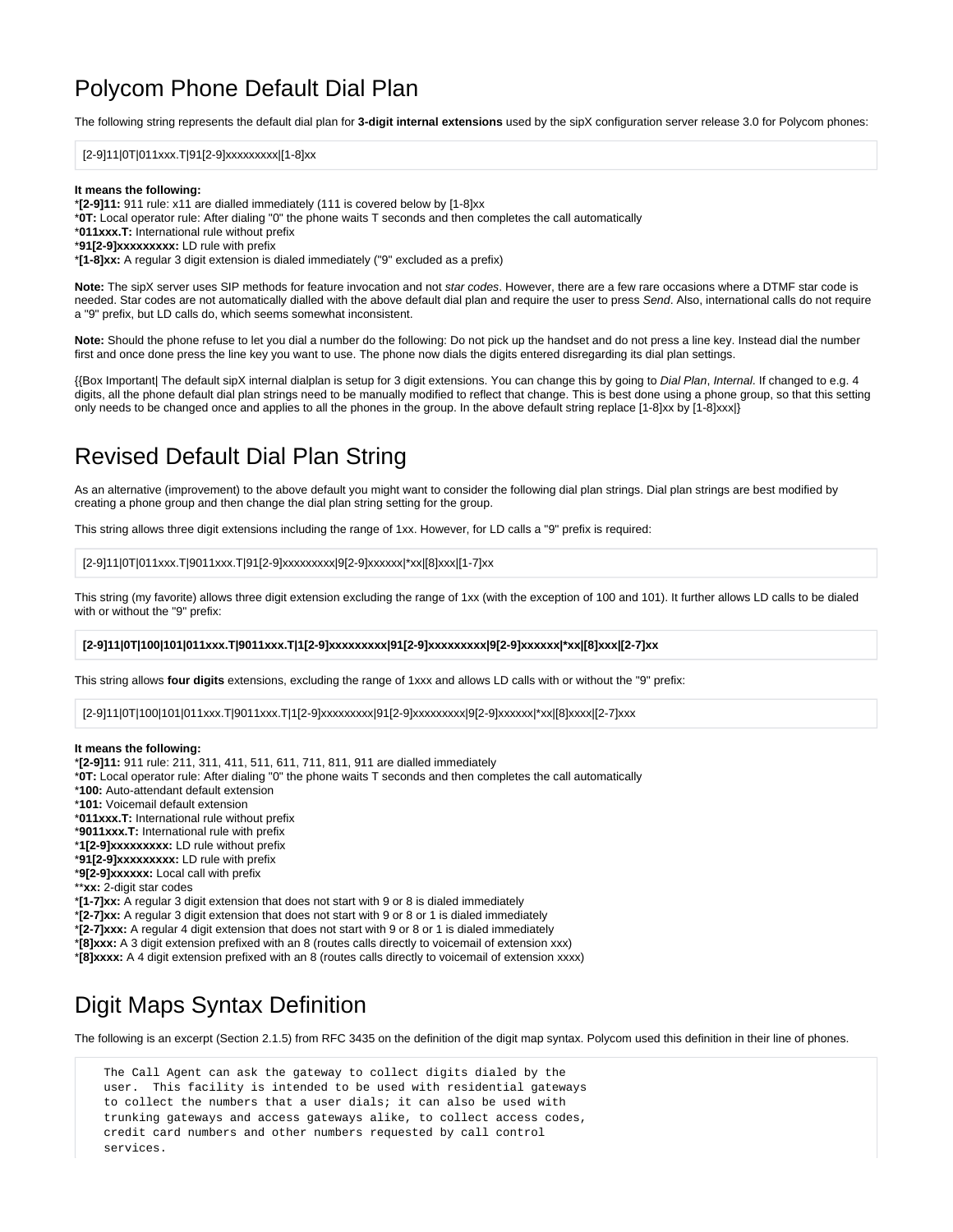## Polycom Phone Default Dial Plan

The following string represents the default dial plan for **3-digit internal extensions** used by the sipX configuration server release 3.0 for Polycom phones:

### [2-9]11|0T|011xxx.T|91[2-9]xxxxxxxxx|[1-8]xx

### **It means the following:**

\***[2-9]11:** 911 rule: x11 are dialled immediately (111 is covered below by [1-8]xx

\***0T:** Local operator rule: After dialing "0" the phone waits T seconds and then completes the call automatically

\***011xxx.T:** International rule without prefix

\***91[2-9]xxxxxxxxx:** LD rule with prefix

\***[1-8]xx:** A regular 3 digit extension is dialed immediately ("9" excluded as a prefix)

**Note:** The sipX server uses SIP methods for feature invocation and not star codes. However, there are a few rare occasions where a DTMF star code is needed. Star codes are not automatically dialled with the above default dial plan and require the user to press Send. Also, international calls do not require a "9" prefix, but LD calls do, which seems somewhat inconsistent.

**Note:** Should the phone refuse to let you dial a number do the following: Do not pick up the handset and do not press a line key. Instead dial the number first and once done press the line key you want to use. The phone now dials the digits entered disregarding its dial plan settings.

{{Box Important| The default sipX internal dialplan is setup for 3 digit extensions. You can change this by going to Dial Plan, Internal. If changed to e.g. 4 digits, all the phone default dial plan strings need to be manually modified to reflect that change. This is best done using a phone group, so that this setting only needs to be changed once and applies to all the phones in the group. In the above default string replace [1-8]xx by [1-8]xxx|}

# Revised Default Dial Plan String

As an alternative (improvement) to the above default you might want to consider the following dial plan strings. Dial plan strings are best modified by creating a phone group and then change the dial plan string setting for the group.

This string allows three digit extensions including the range of 1xx. However, for LD calls a "9" prefix is required:

[2-9]11|0T|011xxx.T|9011xxx.T|91[2-9]xxxxxxxxx|9[2-9]xxxxxx|\*xx|[8]xxx|[1-7]xx

This string (my favorite) allows three digit extension excluding the range of 1xx (with the exception of 100 and 101). It further allows LD calls to be dialed with or without the "9" prefix:

### **[2-9]11|0T|100|101|011xxx.T|9011xxx.T|1[2-9]xxxxxxxxx|91[2-9]xxxxxxxxx|9[2-9]xxxxxx|\*xx|[8]xxx|[2-7]xx**

This string allows **four digits** extensions, excluding the range of 1xxx and allows LD calls with or without the "9" prefix:

[2-9]11|0T|100|101|011xxx.T|9011xxx.T|1[2-9]xxxxxxxxx|91[2-9]xxxxxxxxx|9[2-9]xxxxxx|\*xx|[8]xxxx|[2-7]xxx

### **It means the following:**

\***[2-9]11:** 911 rule: 211, 311, 411, 511, 611, 711, 811, 911 are dialled immediately

- \***0T:** Local operator rule: After dialing "0" the phone waits T seconds and then completes the call automatically
- \***100:** Auto-attendant default extension
- \***101:** Voicemail default extension
- \***011xxx.T:** International rule without prefix
- \***9011xxx.T:** International rule with prefix
- \***1[2-9]xxxxxxxxx:** LD rule without prefix
- \***91[2-9]xxxxxxxxx:** LD rule with prefix
- \***9[2-9]xxxxxx:** Local call with prefix
- \*\***xx:** 2-digit star codes

\***[1-7]xx:** A regular 3 digit extension that does not start with 9 or 8 is dialed immediately

\***[2-7]xx:** A regular 3 digit extension that does not start with 9 or 8 or 1 is dialed immediately

\***[2-7]xxx:** A regular 4 digit extension that does not start with 9 or 8 or 1 is dialed immediately

\***[8]xxx:** A 3 digit extension prefixed with an 8 (routes calls directly to voicemail of extension xxx)

\***[8]xxxx:** A 4 digit extension prefixed with an 8 (routes calls directly to voicemail of extension xxxx)

### Digit Maps Syntax Definition

The following is an excerpt (Section 2.1.5) from RFC 3435 on the definition of the digit map syntax. Polycom used this definition in their line of phones.

 The Call Agent can ask the gateway to collect digits dialed by the user. This facility is intended to be used with residential gateways to collect the numbers that a user dials; it can also be used with trunking gateways and access gateways alike, to collect access codes, credit card numbers and other numbers requested by call control services.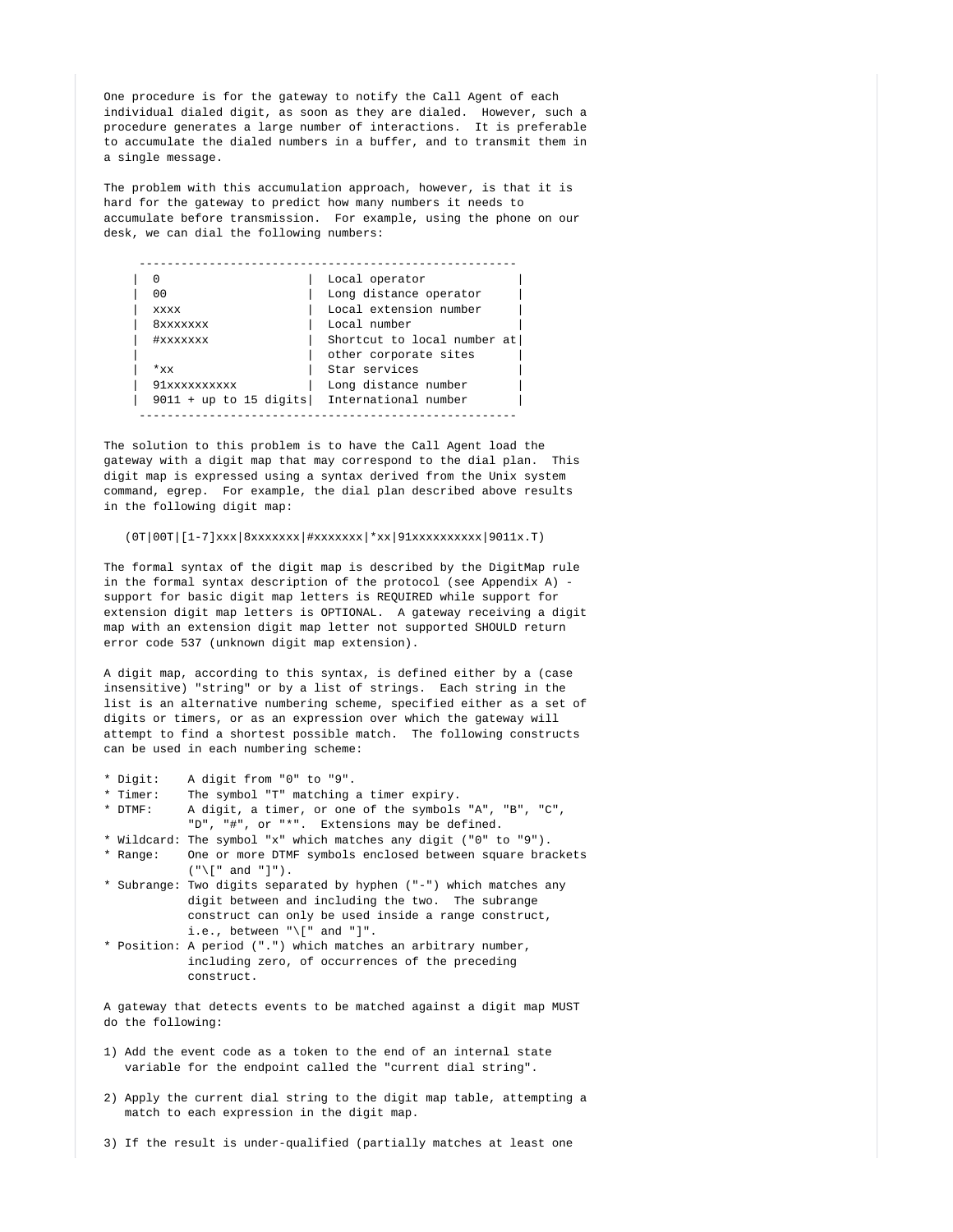One procedure is for the gateway to notify the Call Agent of each individual dialed digit, as soon as they are dialed. However, such a procedure generates a large number of interactions. It is preferable to accumulate the dialed numbers in a buffer, and to transmit them in a single message.

 The problem with this accumulation approach, however, is that it is hard for the gateway to predict how many numbers it needs to accumulate before transmission. For example, using the phone on our desk, we can dial the following numbers:

|                                             | Local operator              |
|---------------------------------------------|-----------------------------|
| 00                                          | Long distance operator      |
| <b>xxxx</b>                                 | Local extension number      |
| 8xxxxxxx                                    | Local number                |
| #xxxxxxx                                    | Shortcut to local number at |
|                                             | other corporate sites       |
| $*_{xx}$                                    | Star services               |
| 91xxxxxxxxxx                                | Long distance number        |
| 9011 + up to 15 digits International number |                             |

 The solution to this problem is to have the Call Agent load the gateway with a digit map that may correspond to the dial plan. This digit map is expressed using a syntax derived from the Unix system command, egrep. For example, the dial plan described above results in the following digit map:

### (0T|00T|[1-7]xxx|8xxxxxxx|#xxxxxxx|\*xx|91xxxxxxxxxx|9011x.T)

 The formal syntax of the digit map is described by the DigitMap rule in the formal syntax description of the protocol (see Appendix A) support for basic digit map letters is REQUIRED while support for extension digit map letters is OPTIONAL. A gateway receiving a digit map with an extension digit map letter not supported SHOULD return error code 537 (unknown digit map extension).

 A digit map, according to this syntax, is defined either by a (case insensitive) "string" or by a list of strings. Each string in the list is an alternative numbering scheme, specified either as a set of digits or timers, or as an expression over which the gateway will attempt to find a shortest possible match. The following constructs can be used in each numbering scheme:

- \* Digit: A digit from "0" to "9".
- The symbol "T" matching a timer expiry.
- \* DTMF: A digit, a timer, or one of the symbols "A", "B", "C", "D", "#", or "\*". Extensions may be defined.
- \* Wildcard: The symbol "x" which matches any digit ("0" to "9").
- \* Range: One or more DTMF symbols enclosed between square brackets  $(\sqrt[n]{[n]^{n}}$  and  $\sqrt[n]{[n]}$ .
- \* Subrange: Two digits separated by hyphen ("-") which matches any digit between and including the two. The subrange construct can only be used inside a range construct, i.e., between  $"\|$ " and "]".
- \* Position: A period (".") which matches an arbitrary number, including zero, of occurrences of the preceding construct.

 A gateway that detects events to be matched against a digit map MUST do the following:

- 1) Add the event code as a token to the end of an internal state variable for the endpoint called the "current dial string".
- 2) Apply the current dial string to the digit map table, attempting a match to each expression in the digit map.

3) If the result is under-qualified (partially matches at least one